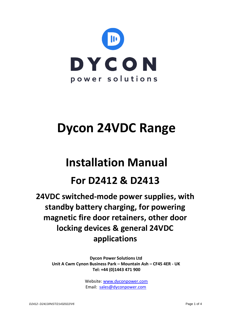

# **Dycon 24VDC Range**

## **Installation Manual**

### **For D2412 & D2413**

**24VDC switched-mode power supplies, with standby battery charging, for powering magnetic fire door retainers, other door locking devices & general 24VDC applications**

**Dycon Power Solutions Ltd Unit A Cwm Cynon Business Park – Mountain Ash – CF45 4ER - UK Tel: +44 (0)1443 471 900** 

> Website: [www.dyconpower.com](http://www.dyconpower.com/) Email: [sales@dyconpower.com](mailto:sales@dyconpower.com)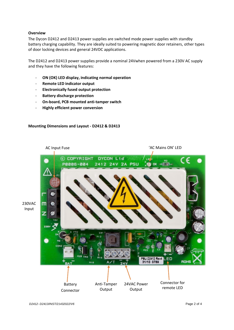#### **Overview**

The Dycon D2412 and D2413 power supplies are switched mode power supplies with standby battery charging capability. They are ideally suited to powering magnetic door retainers, other types of door locking devices and general 24VDC applications.

The D2412 and D2413 power supplies provide a nominal 24Vwhen powered from a 230V AC supply and they have the following features:

- **ON (OK) LED display, indicating normal operation**
- **Remote LED indicator output**
- **Electronically fused output protection**
- **Battery discharge protection**
- **On-board, PCB mounted anti-tamper switch**
- **Highly efficient power conversion**

#### **Mounting Dimensions and Layout - D2412 & D2413**

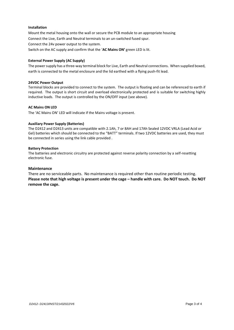#### **Installation**

Mount the metal housing onto the wall or secure the PCB module to an appropriate housing Connect the Live, Earth and Neutral terminals to an un-switched fused spur. Connect the 24v power output to the system. Switch on the AC supply and confirm that the '**AC Mains ON'** green LED is lit.

#### **External Power Supply (AC Supply)**

The power supply has a three-way terminal block for Live, Earth and Neutral connections. When supplied boxed, earth is connected to the metal enclosure and the lid earthed with a flying push-fit lead.

#### **24VDC Power Output**

Terminal blocks are provided to connect to the system. The output is floating and can be referenced to earth if required. The output is short circuit and overload electronically protected and is suitable for switching highly inductive loads. The output is controlled by the ON/OFF input (see above).

#### **AC Mains ON LED**

The 'AC Mains ON' LED will indicate if the Mains voltage is present.

#### **Auxiliary Power Supply (Batteries)**

The D2412 and D2413 units are compatible with 2.1Ah, 7 or 8AH and 17Ah Sealed 12VDC VRLA (Lead Acid or Gel) batteries which should be connected to the "BATT" terminals. If two 12VDC batteries are used, they must be connected in series using the link cable provided .

#### **Battery Protection**

The batteries and electronic circuitry are protected against reverse polarity connection by a self-resetting electronic fuse.

#### **Maintenance**

There are no serviceable parts. No maintenance is required other than routine periodic testing. **Please note that high voltage is present under the cage – handle with care. Do NOT touch. Do NOT remove the cage.**